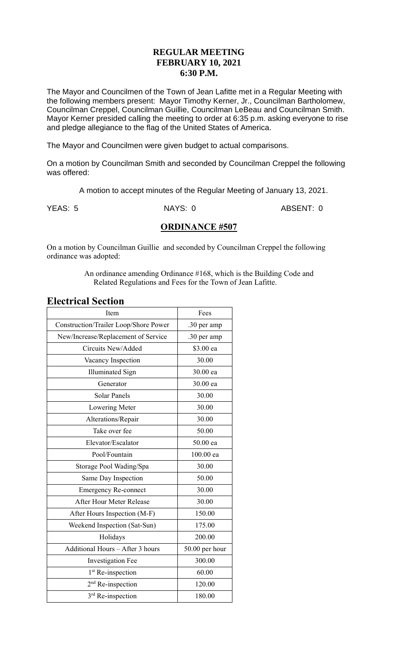### **REGULAR MEETING FEBRUARY 10, 2021 6:30 P.M.**

The Mayor and Councilmen of the Town of Jean Lafitte met in a Regular Meeting with the following members present: Mayor Timothy Kerner, Jr., Councilman Bartholomew, Councilman Creppel, Councilman Guillie, Councilman LeBeau and Councilman Smith. Mayor Kerner presided calling the meeting to order at 6:35 p.m. asking everyone to rise and pledge allegiance to the flag of the United States of America.

The Mayor and Councilmen were given budget to actual comparisons.

On a motion by Councilman Smith and seconded by Councilman Creppel the following was offered:

A motion to accept minutes of the Regular Meeting of January 13, 2021.

YEAS: 5 NAYS: 0 ABSENT: 0

### **ORDINANCE #507**

On a motion by Councilman Guillie and seconded by Councilman Creppel the following ordinance was adopted:

> An ordinance amending Ordinance #168, which is the Building Code and Related Regulations and Fees for the Town of Jean Lafitte.

### **Electrical Section**

| Item                                         | Fees           |  |
|----------------------------------------------|----------------|--|
| <b>Construction/Trailer Loop/Shore Power</b> | .30 per amp    |  |
| New/Increase/Replacement of Service          | .30 per amp    |  |
| Circuits New/Added                           | \$3.00 ea      |  |
| Vacancy Inspection                           | 30.00          |  |
| <b>Illuminated Sign</b>                      | 30.00 ea       |  |
| Generator                                    | 30.00 ea       |  |
| <b>Solar Panels</b>                          | 30.00          |  |
| Lowering Meter                               | 30.00          |  |
| Alterations/Repair                           | 30.00          |  |
| Take over fee                                | 50.00          |  |
| Elevator/Escalator                           | 50.00 ea       |  |
| Pool/Fountain                                | 100.00 ea      |  |
| Storage Pool Wading/Spa                      | 30.00          |  |
| Same Day Inspection                          | 50.00          |  |
| <b>Emergency Re-connect</b>                  | 30.00          |  |
| After Hour Meter Release                     | 30.00          |  |
| After Hours Inspection (M-F)                 | 150.00         |  |
| Weekend Inspection (Sat-Sun)                 | 175.00         |  |
| Holidays                                     | 200.00         |  |
| Additional Hours - After 3 hours             | 50.00 per hour |  |
| <b>Investigation Fee</b>                     | 300.00         |  |
| 1 <sup>st</sup> Re-inspection                | 60.00          |  |
| 2 <sup>nd</sup> Re-inspection                | 120.00         |  |
| 3rd Re-inspection                            | 180.00         |  |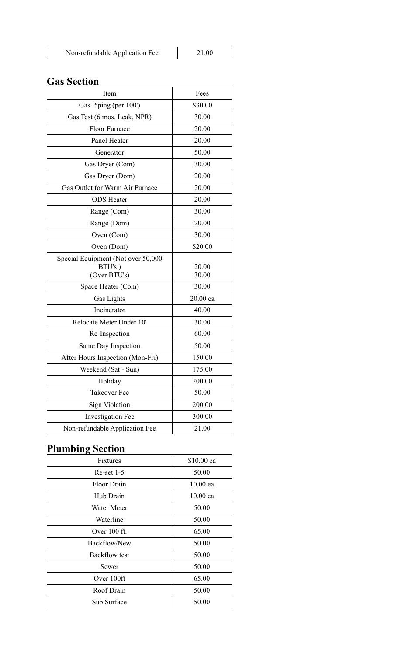| Non-refundable Application Fee | 21.00 |
|--------------------------------|-------|

# **Gas Section**

| Item                                                         | Fees           |  |
|--------------------------------------------------------------|----------------|--|
| Gas Piping (per 100')                                        | \$30.00        |  |
| Gas Test (6 mos. Leak, NPR)                                  | 30.00          |  |
| Floor Furnace                                                | 20.00          |  |
| Panel Heater                                                 | 20.00          |  |
| Generator                                                    | 50.00          |  |
| Gas Dryer (Com)                                              | 30.00          |  |
| Gas Dryer (Dom)                                              | 20.00          |  |
| Gas Outlet for Warm Air Furnace                              | 20.00          |  |
| <b>ODS</b> Heater                                            | 20.00          |  |
| Range (Com)                                                  | 30.00          |  |
| Range (Dom)                                                  | 20.00          |  |
| Oven (Com)                                                   | 30.00          |  |
| Oven (Dom)                                                   | \$20.00        |  |
| Special Equipment (Not over 50,000<br>BTU's)<br>(Over BTU's) | 20.00<br>30.00 |  |
| Space Heater (Com)                                           | 30.00          |  |
| Gas Lights                                                   | 20.00 ea       |  |
| Incinerator                                                  | 40.00          |  |
| Relocate Meter Under 10'                                     | 30.00          |  |
| Re-Inspection                                                | 60.00          |  |
| Same Day Inspection                                          | 50.00          |  |
| After Hours Inspection (Mon-Fri)                             | 150.00         |  |
| Weekend (Sat - Sun)                                          | 175.00         |  |
| Holiday                                                      | 200.00         |  |
| <b>Takeover Fee</b>                                          | 50.00          |  |
| <b>Sign Violation</b>                                        | 200.00         |  |
| <b>Investigation Fee</b>                                     | 300.00         |  |
| Non-refundable Application Fee                               | 21.00          |  |

# **Plumbing Section**

| <b>Fixtures</b> | \$10.00 ea |  |
|-----------------|------------|--|
| $Re-set$ 1-5    | 50.00      |  |
| Floor Drain     | $10.00$ ea |  |
| Hub Drain       | $10.00$ ea |  |
| Water Meter     | 50.00      |  |
| Waterline       | 50.00      |  |
| Over $100$ ft.  | 65.00      |  |
| Backflow/New    | 50.00      |  |
| Backflow test   | 50.00      |  |
| Sewer           | 50.00      |  |
| Over 100ft      | 65.00      |  |
| Roof Drain      | 50.00      |  |
| Sub Surface     | 50.00      |  |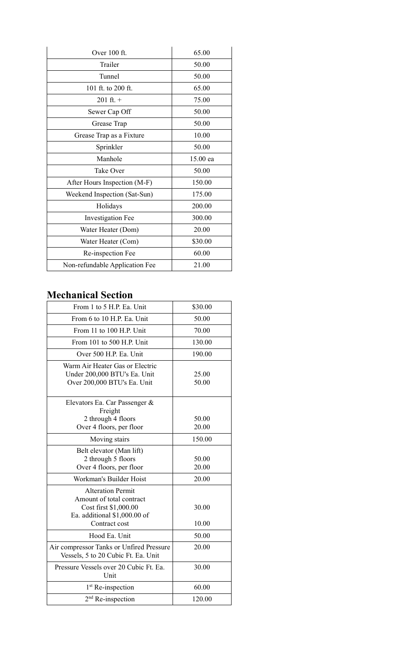| Over 100 ft.                   | 65.00    |  |
|--------------------------------|----------|--|
| Trailer                        | 50.00    |  |
| Tunnel                         | 50.00    |  |
| 101 ft. to 200 ft.             | 65.00    |  |
| $201 \text{ ft.} +$            | 75.00    |  |
| Sewer Cap Off                  | 50.00    |  |
| Grease Trap                    | 50.00    |  |
| Grease Trap as a Fixture       | 10.00    |  |
| Sprinkler                      | 50.00    |  |
| Manhole                        | 15.00 ea |  |
| <b>Take Over</b>               | 50.00    |  |
| After Hours Inspection (M-F)   | 150.00   |  |
| Weekend Inspection (Sat-Sun)   | 175.00   |  |
| Holidays                       | 200.00   |  |
| <b>Investigation Fee</b>       | 300.00   |  |
| Water Heater (Dom)             | 20.00    |  |
| Water Heater (Com)             | \$30.00  |  |
| Re-inspection Fee              | 60.00    |  |
| Non-refundable Application Fee | 21.00    |  |

## **Mechanical Section**

| From 1 to 5 H.P. Ea. Unit                                                                                                      | \$30.00        |
|--------------------------------------------------------------------------------------------------------------------------------|----------------|
| From 6 to 10 H.P. Ea. Unit                                                                                                     | 50.00          |
| From 11 to 100 H.P. Unit                                                                                                       | 70.00          |
| From 101 to 500 H.P. Unit                                                                                                      | 130.00         |
| Over 500 H.P. Ea. Unit                                                                                                         | 190.00         |
| Warm Air Heater Gas or Electric<br>Under 200,000 BTU's Ea. Unit<br>Over 200,000 BTU's Ea. Unit                                 | 25.00<br>50.00 |
| Elevators Ea. Car Passenger &<br>Freight<br>2 through 4 floors<br>Over 4 floors, per floor                                     | 50.00<br>20.00 |
| Moving stairs                                                                                                                  | 150.00         |
| Belt elevator (Man lift)<br>2 through 5 floors<br>Over 4 floors, per floor                                                     | 50.00<br>20.00 |
| Workman's Builder Hoist                                                                                                        | 20.00          |
| <b>Alteration Permit</b><br>Amount of total contract<br>Cost first \$1,000.00<br>Ea. additional \$1,000.00 of<br>Contract cost | 30.00<br>10.00 |
| Hood Ea. Unit                                                                                                                  | 50.00          |
| Air compressor Tanks or Unfired Pressure<br>Vessels, 5 to 20 Cubic Ft. Ea. Unit                                                | 20.00          |
| Pressure Vessels over 20 Cubic Ft. Ea.<br>Unit                                                                                 | 30.00          |
| 1 <sup>st</sup> Re-inspection                                                                                                  | 60.00          |
| $2nd$ Re-inspection                                                                                                            | 120.00         |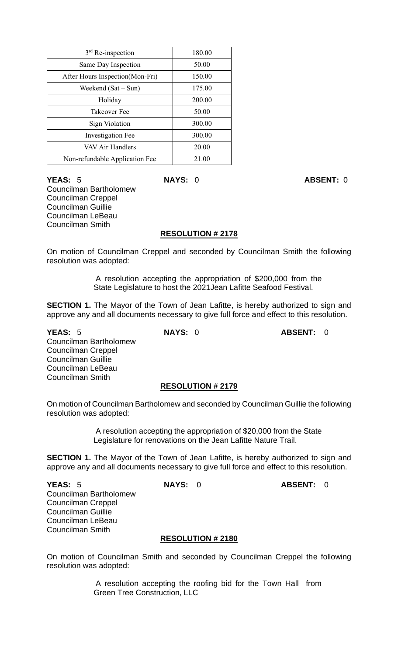| $3rd$ Re-inspection              | 180.00 |
|----------------------------------|--------|
| Same Day Inspection              | 50.00  |
| After Hours Inspection (Mon-Fri) | 150.00 |
| Weekend $(Sat-Sun)$              | 175.00 |
| Holiday                          | 200.00 |
| Takeover Fee                     | 50.00  |
| Sign Violation                   | 300.00 |
| <b>Investigation Fee</b>         | 300.00 |
| VAV Air Handlers                 | 20.00  |
| Non-refundable Application Fee   | 21.00  |

**YEAS:** 5 **NAYS:** 0 **ABSENT:** 0 Councilman Bartholomew Councilman Creppel Councilman Guillie Councilman LeBeau Councilman Smith

#### **RESOLUTION # 2178**

On motion of Councilman Creppel and seconded by Councilman Smith the following resolution was adopted:

> A resolution accepting the appropriation of \$200,000 from the State Legislature to host the 2021Jean Lafitte Seafood Festival.

**SECTION 1.** The Mayor of the Town of Jean Lafitte, is hereby authorized to sign and approve any and all documents necessary to give full force and effect to this resolution.

**YEAS:** 5 **NAYS:** 0 **ABSENT:** 0 Councilman Bartholomew Councilman Creppel Councilman Guillie Councilman LeBeau Councilman Smith

#### **RESOLUTION # 2179**

On motion of Councilman Bartholomew and seconded by Councilman Guillie the following resolution was adopted:

> A resolution accepting the appropriation of \$20,000 from the State Legislature for renovations on the Jean Lafitte Nature Trail.

**SECTION 1.** The Mayor of the Town of Jean Lafitte, is hereby authorized to sign and approve any and all documents necessary to give full force and effect to this resolution.

**YEAS:** 5 **NAYS:** 0 **ABSENT:** 0 Councilman Bartholomew Councilman Creppel Councilman Guillie Councilman LeBeau Councilman Smith

#### **RESOLUTION # 2180**

On motion of Councilman Smith and seconded by Councilman Creppel the following resolution was adopted:

> A resolution accepting the roofing bid for the Town Hall from Green Tree Construction, LLC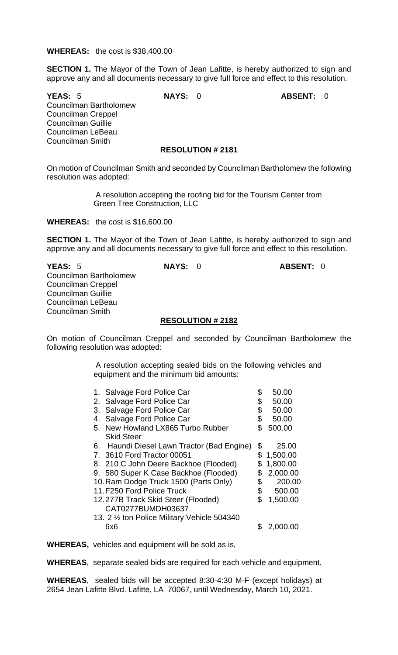#### **WHEREAS:** the cost is \$38,400.00

**SECTION 1.** The Mayor of the Town of Jean Lafitte, is hereby authorized to sign and approve any and all documents necessary to give full force and effect to this resolution.

**YEAS:** 5 **NAYS:** 0 **ABSENT:** 0 Councilman Bartholomew Councilman Creppel Councilman Guillie Councilman LeBeau Councilman Smith

# **RESOLUTION # 2181**

On motion of Councilman Smith and seconded by Councilman Bartholomew the following resolution was adopted:

> A resolution accepting the roofing bid for the Tourism Center from Green Tree Construction, LLC

**WHEREAS:** the cost is \$16,600.00

**SECTION 1.** The Mayor of the Town of Jean Lafitte, is hereby authorized to sign and approve any and all documents necessary to give full force and effect to this resolution.

**YEAS:** 5 **NAYS:** 0 **ABSENT:** 0 Councilman Bartholomew Councilman Creppel Councilman Guillie Councilman LeBeau Councilman Smith

#### **RESOLUTION # 2182**

On motion of Councilman Creppel and seconded by Councilman Bartholomew the following resolution was adopted:

> A resolution accepting sealed bids on the following vehicles and equipment and the minimum bid amounts:

|    | 1. Salvage Ford Police Car                   | \$<br>50.00    |
|----|----------------------------------------------|----------------|
| 2. | Salvage Ford Police Car                      | \$<br>50.00    |
| 3. | Salvage Ford Police Car                      | \$<br>50.00    |
|    | 4. Salvage Ford Police Car                   | \$<br>50.00    |
|    | 5. New Howland LX865 Turbo Rubber            | \$<br>500.00   |
|    | <b>Skid Steer</b>                            |                |
|    | 6. Haundi Diesel Lawn Tractor (Bad Engine)   | \$<br>25.00    |
|    | 7. 3610 Ford Tractor 00051                   | \$<br>1,500.00 |
|    | 8. 210 C John Deere Backhoe (Flooded)        | 1,800.00       |
|    | 9. 580 Super K Case Backhoe (Flooded)        | \$<br>2,000.00 |
|    | 10. Ram Dodge Truck 1500 (Parts Only)        | \$<br>200.00   |
|    | 11. F250 Ford Police Truck                   | \$<br>500.00   |
|    | 12.277B Track Skid Steer (Flooded)           | \$<br>1,500.00 |
|    | CAT0277BUMDH03637                            |                |
|    | 13. 2 1/2 ton Police Military Vehicle 504340 |                |
|    | 6x6                                          | 2,000          |
|    |                                              |                |

**WHEREAS,** vehicles and equipment will be sold as is,

**WHEREAS**, separate sealed bids are required for each vehicle and equipment.

**WHEREAS**, sealed bids will be accepted 8:30-4:30 M-F (except holidays) at 2654 Jean Lafitte Blvd. Lafitte, LA 70067, until Wednesday, March 10, 2021.